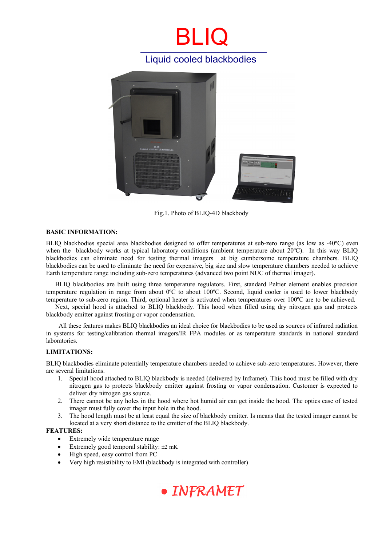## BL IQ Liquid cooled blackbodies



Fig.1. Photo of BLIQ-4D blackbody

### **BASIC INFORMATION:**

BLIQ blackbodies special area blackbodies designed to offer temperatures at sub-zero range (as low as -40ºC) even when the blackbody works at typical laboratory conditions (ambient temperature about 20°C). In this way BLIQ blackbodies can eliminate need for testing thermal imagers at big cumbersome temperature chambers. BLIQ blackbodies can be used to eliminate the need for expensive, big size and slow temperature chambers needed to achieve Earth temperature range including sub-zero temperatures (advanced two point NUC of thermal imager).

BLIQ blackbodies are built using three temperature regulators. First, standard Peltier element enables precision temperature regulation in range from about 0ºC to about 100ºC. Second, liquid cooler is used to lower blackbody temperature to sub-zero region. Third, optional heater is activated when temperatures over 100ºC are to be achieved.

Next, special hood is attached to BLIQ blackbody. This hood when filled using dry nitrogen gas and protects blackbody emitter against frosting or vapor condensation.

 All these features makes BLIQ blackbodies an ideal choice for blackbodies to be used as sources of infrared radiation in systems for testing/calibration thermal imagers/IR FPA modules or as temperature standards in national standard laboratories.

#### **LIMITATIONS:**

BLIQ blackbodies eliminate potentially temperature chambers needed to achieve sub-zero temperatures. However, there are several limitations.

- 1. Special hood attached to BLIQ blackbody is needed (delivered by Inframet). This hood must be filled with dry nitrogen gas to protects blackbody emitter against frosting or vapor condensation. Customer is expected to deliver dry nitrogen gas source.
- 2. There cannot be any holes in the hood where hot humid air can get inside the hood. The optics case of tested imager must fully cover the input hole in the hood.
- 3. The hood length must be at least equal the size of blackbody emitter. Is means that the tested imager cannot be located at a very short distance to the emitter of the BLIQ blackbody.

### **FEATURES:**

- Extremely wide temperature range
- Extremely good temporal stability:  $\pm 2$  mK
- High speed, easy control from PC
- Very high resistibility to EMI (blackbody is integrated with controller)